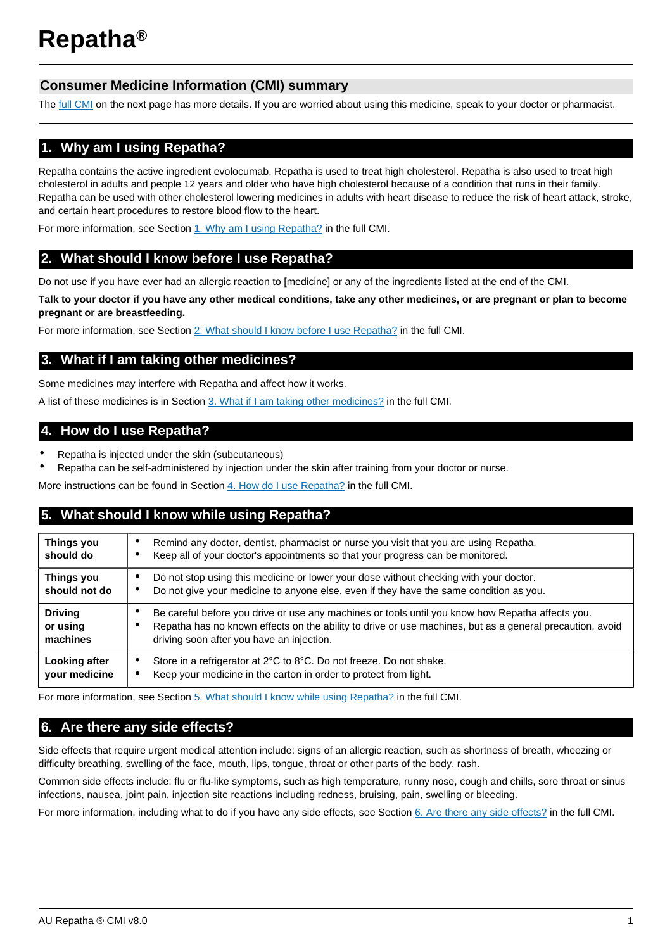# **Consumer Medicine Information (CMI) summary**

The [full CMI](#page-1-0) on the next page has more details. If you are worried about using this medicine, speak to your doctor or pharmacist.

# **1. Why am I using Repatha?**

Repatha contains the active ingredient evolocumab. Repatha is used to treat high cholesterol. Repatha is also used to treat high cholesterol in adults and people 12 years and older who have high cholesterol because of a condition that runs in their family. Repatha can be used with other cholesterol lowering medicines in adults with heart disease to reduce the risk of heart attack, stroke, and certain heart procedures to restore blood flow to the heart.

For more information, see Section [1. Why am I using Repatha?](#page-1-1) in the full CMI.

# **2. What should I know before I use Repatha?**

Do not use if you have ever had an allergic reaction to [medicine] or any of the ingredients listed at the end of the CMI.

**Talk to your doctor if you have any other medical conditions, take any other medicines, or are pregnant or plan to become pregnant or are breastfeeding.**

For more information, see Section [2. What should I know before I use Repatha?](#page-1-2) in the full CMI.

## **3. What if I am taking other medicines?**

Some medicines may interfere with Repatha and affect how it works.

A list of these medicines is in Section [3. What if I am taking other medicines?](#page-1-3) in the full CMI.

## **4. How do I use Repatha?**

- Repatha is injected under the skin (subcutaneous)
- Repatha can be self-administered by injection under the skin after training from your doctor or nurse.

More instructions can be found in Section [4. How do I use Repatha?](#page-2-0) in the full CMI.

## **5. What should I know while using Repatha?**

| Things you<br>should do                | Remind any doctor, dentist, pharmacist or nurse you visit that you are using Repatha.<br>٠<br>Keep all of your doctor's appointments so that your progress can be monitored.                                                                              |
|----------------------------------------|-----------------------------------------------------------------------------------------------------------------------------------------------------------------------------------------------------------------------------------------------------------|
| Things you<br>should not do            | Do not stop using this medicine or lower your dose without checking with your doctor.<br>Do not give your medicine to anyone else, even if they have the same condition as you.                                                                           |
| <b>Driving</b><br>or using<br>machines | Be careful before you drive or use any machines or tools until you know how Repatha affects you.<br>Repatha has no known effects on the ability to drive or use machines, but as a general precaution, avoid<br>driving soon after you have an injection. |
| Looking after<br>your medicine         | Store in a refrigerator at 2°C to 8°C. Do not freeze. Do not shake.<br>Keep your medicine in the carton in order to protect from light.                                                                                                                   |

For more information, see Section [5. What should I know while using Repatha?](#page-2-1) in the full CMI.

# **6. Are there any side effects?**

Side effects that require urgent medical attention include: signs of an allergic reaction, such as shortness of breath, wheezing or difficulty breathing, swelling of the face, mouth, lips, tongue, throat or other parts of the body, rash.

Common side effects include: flu or flu-like symptoms, such as high temperature, runny nose, cough and chills, sore throat or sinus infections, nausea, joint pain, injection site reactions including redness, bruising, pain, swelling or bleeding.

For more information, including what to do if you have any side effects, see Section [6. Are there any side effects?](#page-3-0) in the full CMI.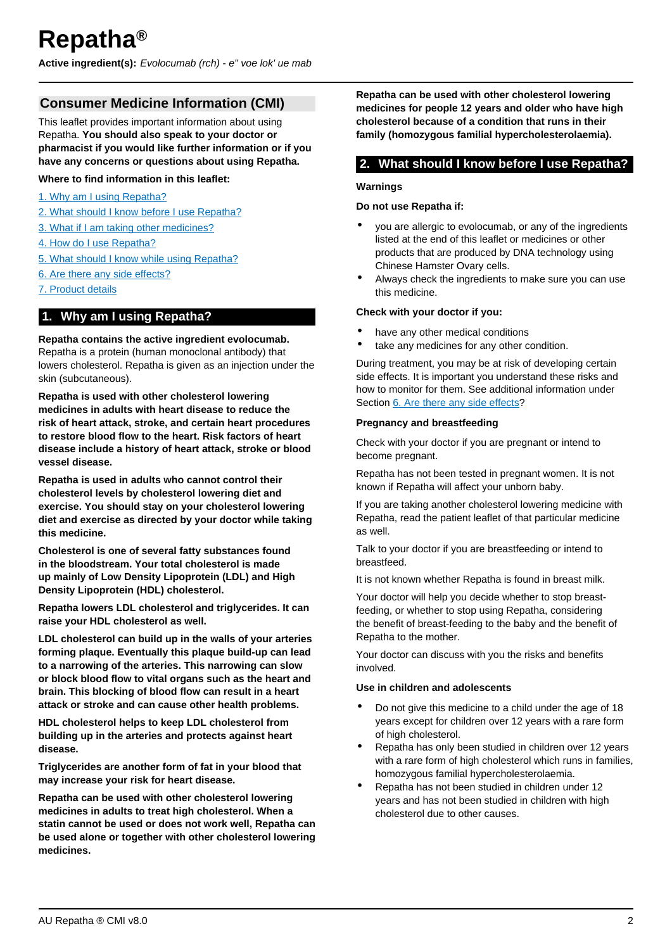<span id="page-1-0"></span>**Active ingredient(s):** Evolocumab (rch) - e" voe lok' ue mab

# **Consumer Medicine Information (CMI)**

This leaflet provides important information about using Repatha. **You should also speak to your doctor or pharmacist if you would like further information or if you have any concerns or questions about using Repatha.**

### **Where to find information in this leaflet:**

- [1. Why am I using Repatha?](#page-1-1)
- [2. What should I know before I use Repatha?](#page-1-2)
- [3. What if I am taking other medicines?](#page-1-3)
- [4. How do I use Repatha?](#page-2-0)
- [5. What should I know while using Repatha?](#page-2-1)
- [6. Are there any side effects?](#page-3-0)
- [7. Product details](#page-3-1)

### <span id="page-1-1"></span>**1. Why am I using Repatha?**

#### **Repatha contains the active ingredient evolocumab.**

Repatha is a protein (human monoclonal antibody) that lowers cholesterol. Repatha is given as an injection under the skin (subcutaneous).

**Repatha is used with other cholesterol lowering medicines in adults with heart disease to reduce the risk of heart attack, stroke, and certain heart procedures to restore blood flow to the heart. Risk factors of heart disease include a history of heart attack, stroke or blood vessel disease.**

**Repatha is used in adults who cannot control their cholesterol levels by cholesterol lowering diet and exercise. You should stay on your cholesterol lowering diet and exercise as directed by your doctor while taking this medicine.**

**Cholesterol is one of several fatty substances found in the bloodstream. Your total cholesterol is made up mainly of Low Density Lipoprotein (LDL) and High Density Lipoprotein (HDL) cholesterol.**

**Repatha lowers LDL cholesterol and triglycerides. It can raise your HDL cholesterol as well.**

**LDL cholesterol can build up in the walls of your arteries forming plaque. Eventually this plaque build-up can lead to a narrowing of the arteries. This narrowing can slow or block blood flow to vital organs such as the heart and brain. This blocking of blood flow can result in a heart attack or stroke and can cause other health problems.**

**HDL cholesterol helps to keep LDL cholesterol from building up in the arteries and protects against heart disease.**

**Triglycerides are another form of fat in your blood that may increase your risk for heart disease.**

**Repatha can be used with other cholesterol lowering medicines in adults to treat high cholesterol. When a statin cannot be used or does not work well, Repatha can be used alone or together with other cholesterol lowering medicines.**

**Repatha can be used with other cholesterol lowering medicines for people 12 years and older who have high cholesterol because of a condition that runs in their family (homozygous familial hypercholesterolaemia).**

## <span id="page-1-2"></span>**2. What should I know before I use Repatha?**

#### **Warnings**

#### **Do not use Repatha if:**

- you are allergic to evolocumab, or any of the ingredients listed at the end of this leaflet or medicines or other products that are produced by DNA technology using Chinese Hamster Ovary cells.
- Always check the ingredients to make sure you can use this medicine.

### **Check with your doctor if you:**

- have any other medical conditions
- take any medicines for any other condition.

During treatment, you may be at risk of developing certain side effects. It is important you understand these risks and how to monitor for them. See additional information under Section [6. Are there any side effects](#page-3-0)?

#### **Pregnancy and breastfeeding**

Check with your doctor if you are pregnant or intend to become pregnant.

Repatha has not been tested in pregnant women. It is not known if Repatha will affect your unborn baby.

If you are taking another cholesterol lowering medicine with Repatha, read the patient leaflet of that particular medicine as well.

Talk to your doctor if you are breastfeeding or intend to breastfeed.

It is not known whether Repatha is found in breast milk.

Your doctor will help you decide whether to stop breastfeeding, or whether to stop using Repatha, considering the benefit of breast-feeding to the baby and the benefit of Repatha to the mother.

Your doctor can discuss with you the risks and benefits involved.

### **Use in children and adolescents**

- Do not give this medicine to a child under the age of 18 years except for children over 12 years with a rare form of high cholesterol.
- Repatha has only been studied in children over 12 years with a rare form of high cholesterol which runs in families. homozygous familial hypercholesterolaemia.
- <span id="page-1-3"></span>• Repatha has not been studied in children under 12 years and has not been studied in children with high cholesterol due to other causes.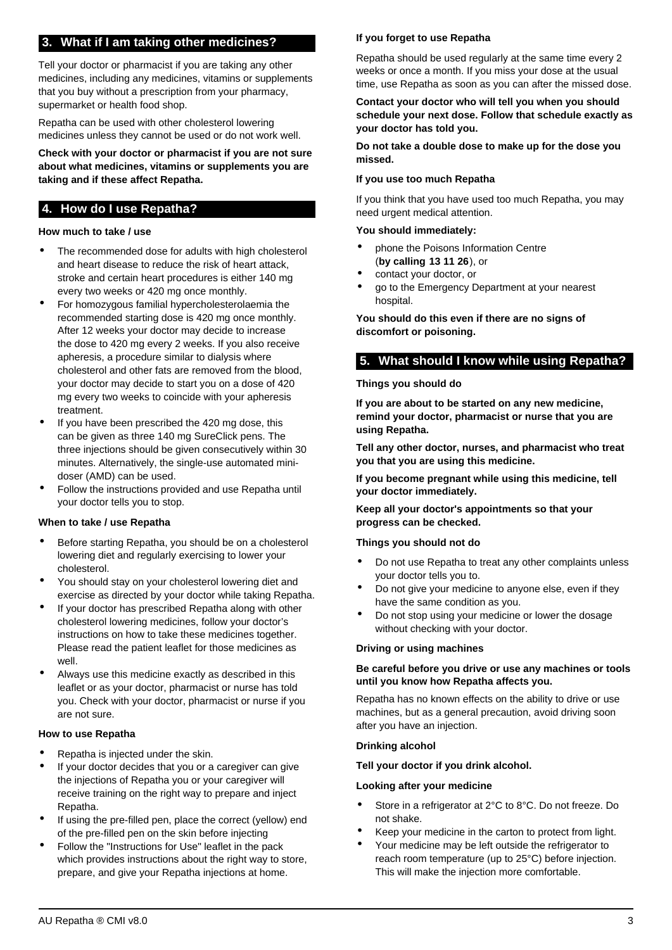# **3. What if I am taking other medicines?**

Tell your doctor or pharmacist if you are taking any other medicines, including any medicines, vitamins or supplements that you buy without a prescription from your pharmacy, supermarket or health food shop.

Repatha can be used with other cholesterol lowering medicines unless they cannot be used or do not work well.

**Check with your doctor or pharmacist if you are not sure about what medicines, vitamins or supplements you are taking and if these affect Repatha.**

## <span id="page-2-0"></span>**4. How do I use Repatha?**

### **How much to take / use**

- The recommended dose for adults with high cholesterol and heart disease to reduce the risk of heart attack, stroke and certain heart procedures is either 140 mg every two weeks or 420 mg once monthly.
- For homozygous familial hypercholesterolaemia the recommended starting dose is 420 mg once monthly. After 12 weeks your doctor may decide to increase the dose to 420 mg every 2 weeks. If you also receive apheresis, a procedure similar to dialysis where cholesterol and other fats are removed from the blood, your doctor may decide to start you on a dose of 420 mg every two weeks to coincide with your apheresis treatment.
- If you have been prescribed the 420 mg dose, this can be given as three 140 mg SureClick pens. The three injections should be given consecutively within 30 minutes. Alternatively, the single-use automated minidoser (AMD) can be used.
- Follow the instructions provided and use Repatha until your doctor tells you to stop.

### **When to take / use Repatha**

- Before starting Repatha, you should be on a cholesterol lowering diet and regularly exercising to lower your cholesterol.
- You should stay on your cholesterol lowering diet and exercise as directed by your doctor while taking Repatha.
- If your doctor has prescribed Repatha along with other cholesterol lowering medicines, follow your doctor's instructions on how to take these medicines together. Please read the patient leaflet for those medicines as well.
- Always use this medicine exactly as described in this leaflet or as your doctor, pharmacist or nurse has told you. Check with your doctor, pharmacist or nurse if you are not sure.

### **How to use Repatha**

- Repatha is injected under the skin.
- If your doctor decides that you or a caregiver can give the injections of Repatha you or your caregiver will receive training on the right way to prepare and inject Repatha.
- If using the pre-filled pen, place the correct (yellow) end of the pre-filled pen on the skin before injecting
- Follow the "Instructions for Use" leaflet in the pack which provides instructions about the right way to store, prepare, and give your Repatha injections at home.

### **If you forget to use Repatha**

Repatha should be used regularly at the same time every 2 weeks or once a month. If you miss your dose at the usual time, use Repatha as soon as you can after the missed dose.

### **Contact your doctor who will tell you when you should schedule your next dose. Follow that schedule exactly as your doctor has told you.**

**Do not take a double dose to make up for the dose you missed.**

#### **If you use too much Repatha**

If you think that you have used too much Repatha, you may need urgent medical attention.

#### **You should immediately:**

- phone the Poisons Information Centre (**by calling 13 11 26**), or
- contact your doctor, or
- go to the Emergency Department at your nearest hospital.

**You should do this even if there are no signs of discomfort or poisoning.**

## <span id="page-2-1"></span>**5. What should I know while using Repatha?**

### **Things you should do**

**If you are about to be started on any new medicine, remind your doctor, pharmacist or nurse that you are using Repatha.**

**Tell any other doctor, nurses, and pharmacist who treat you that you are using this medicine.**

**If you become pregnant while using this medicine, tell your doctor immediately.**

**Keep all your doctor's appointments so that your progress can be checked.**

### **Things you should not do**

- Do not use Repatha to treat any other complaints unless your doctor tells you to.
- Do not give your medicine to anyone else, even if they have the same condition as you.
- Do not stop using your medicine or lower the dosage without checking with your doctor.

### **Driving or using machines**

### **Be careful before you drive or use any machines or tools until you know how Repatha affects you.**

Repatha has no known effects on the ability to drive or use machines, but as a general precaution, avoid driving soon after you have an injection.

### **Drinking alcohol**

#### **Tell your doctor if you drink alcohol.**

### **Looking after your medicine**

- Store in a refrigerator at 2°C to 8°C. Do not freeze. Do not shake.
- Keep your medicine in the carton to protect from light.
- Your medicine may be left outside the refrigerator to reach room temperature (up to 25°C) before injection. This will make the injection more comfortable.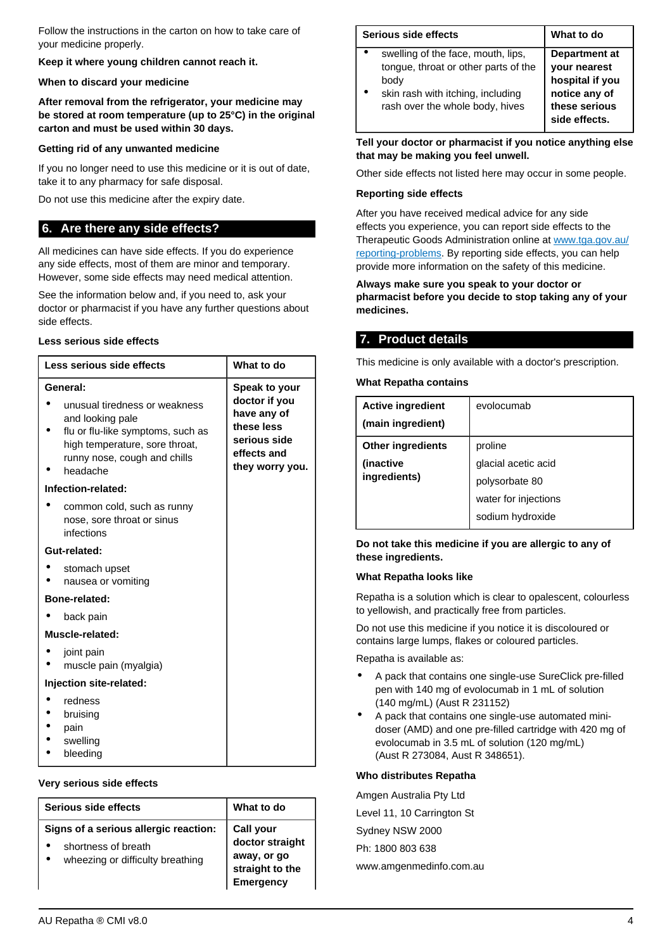Follow the instructions in the carton on how to take care of your medicine properly.

**Keep it where young children cannot reach it.**

#### **When to discard your medicine**

**After removal from the refrigerator, your medicine may be stored at room temperature (up to 25°C) in the original carton and must be used within 30 days.**

#### **Getting rid of any unwanted medicine**

If you no longer need to use this medicine or it is out of date, take it to any pharmacy for safe disposal.

Do not use this medicine after the expiry date.

### <span id="page-3-0"></span>**6. Are there any side effects?**

All medicines can have side effects. If you do experience any side effects, most of them are minor and temporary. However, some side effects may need medical attention.

See the information below and, if you need to, ask your doctor or pharmacist if you have any further questions about side effects.

### **Less serious side effects**

| Less serious side effects                                                                                                           | What to do                                                   |  |  |
|-------------------------------------------------------------------------------------------------------------------------------------|--------------------------------------------------------------|--|--|
| General:<br>unusual tiredness or weakness                                                                                           | Speak to your<br>doctor if you<br>have any of                |  |  |
| and looking pale<br>flu or flu-like symptoms, such as<br>high temperature, sore throat,<br>runny nose, cough and chills<br>headache | these less<br>serious side<br>effects and<br>they worry you. |  |  |
| Infection-related:                                                                                                                  |                                                              |  |  |
| common cold, such as runny<br>nose, sore throat or sinus<br>infections                                                              |                                                              |  |  |
| Gut-related:                                                                                                                        |                                                              |  |  |
| stomach upset<br>nausea or vomiting                                                                                                 |                                                              |  |  |
| Bone-related:                                                                                                                       |                                                              |  |  |
| back pain                                                                                                                           |                                                              |  |  |
| Muscle-related:                                                                                                                     |                                                              |  |  |
| joint pain<br>muscle pain (myalgia)                                                                                                 |                                                              |  |  |
| Injection site-related:                                                                                                             |                                                              |  |  |
| redness<br>bruising<br>pain<br>swelling<br>bleeding                                                                                 |                                                              |  |  |

#### **Very serious side effects**

| Serious side effects                                                                             | What to do                                                                         |
|--------------------------------------------------------------------------------------------------|------------------------------------------------------------------------------------|
| Signs of a serious allergic reaction:<br>shortness of breath<br>wheezing or difficulty breathing | Call your<br>doctor straight<br>away, or go<br>straight to the<br><b>Emergency</b> |

| Serious side effects                                                                                                                                       | What to do                                                                                          |
|------------------------------------------------------------------------------------------------------------------------------------------------------------|-----------------------------------------------------------------------------------------------------|
| swelling of the face, mouth, lips,<br>tongue, throat or other parts of the<br>body<br>skin rash with itching, including<br>rash over the whole body, hives | Department at<br>your nearest<br>hospital if you<br>notice any of<br>these serious<br>side effects. |

**Tell your doctor or pharmacist if you notice anything else that may be making you feel unwell.**

Other side effects not listed here may occur in some people.

#### **Reporting side effects**

After you have received medical advice for any side effects you experience, you can report side effects to the Therapeutic Goods Administration online at [www.tga.gov.au/](http://www.tga.gov.au/reporting-problems) [reporting-problems](http://www.tga.gov.au/reporting-problems). By reporting side effects, you can help provide more information on the safety of this medicine.

#### **Always make sure you speak to your doctor or pharmacist before you decide to stop taking any of your medicines.**

# <span id="page-3-1"></span>**7. Product details**

This medicine is only available with a doctor's prescription.

#### **What Repatha contains**

| <b>Active ingredient</b> | evolocumab           |
|--------------------------|----------------------|
| (main ingredient)        |                      |
| <b>Other ingredients</b> | proline              |
| (inactive                | glacial acetic acid  |
| ingredients)             | polysorbate 80       |
|                          | water for injections |
|                          | sodium hydroxide     |

**Do not take this medicine if you are allergic to any of these ingredients.**

#### **What Repatha looks like**

Repatha is a solution which is clear to opalescent, colourless to yellowish, and practically free from particles.

Do not use this medicine if you notice it is discoloured or contains large lumps, flakes or coloured particles.

Repatha is available as:

- A pack that contains one single-use SureClick pre-filled pen with 140 mg of evolocumab in 1 mL of solution (140 mg/mL) (Aust R 231152)
- A pack that contains one single-use automated minidoser (AMD) and one pre-filled cartridge with 420 mg of evolocumab in 3.5 mL of solution (120 mg/mL) (Aust R 273084, Aust R 348651).

#### **Who distributes Repatha**

Amgen Australia Pty Ltd Level 11, 10 Carrington St Sydney NSW 2000 Ph: 1800 803 638 www.amgenmedinfo.com.au